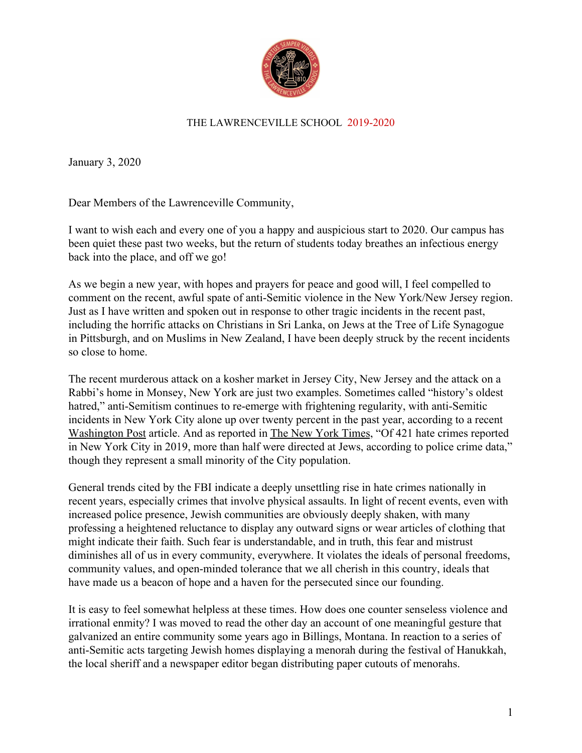

## THE LAWRENCEVILLE SCHOOL 2019-2020

January 3, 2020

Dear Members of the Lawrenceville Community,

I want to wish each and every one of you a happy and auspicious start to 2020. Our campus has been quiet these past two weeks, but the return of students today breathes an infectious energy back into the place, and off we go!

As we begin a new year, with hopes and prayers for peace and good will, I feel compelled to comment on the recent, awful spate of anti-Semitic violence in the New York/New Jersey region. Just as I have written and spoken out in response to other tragic incidents in the recent past, including the horrific attacks on Christians in Sri Lanka, on Jews at the Tree of Life Synagogue in Pittsburgh, and on Muslims in New Zealand, I have been deeply struck by the recent incidents so close to home.

The recent murderous attack on a kosher market in Jersey City, New Jersey and the attack on a Rabbi's home in Monsey, New York are just two examples. Sometimes called "history's oldest hatred," anti-Semitism continues to re-emerge with frightening regularity, with anti-Semitic incidents in New York City alone up over twenty percent in the past year, according to a recent Washington Post article. And as reported in The New York Times, "Of 421 hate crimes reported in New York City in 2019, more than half were directed at Jews, according to police crime data," though they represent a small minority of the City population.

General trends cited by the FBI indicate a deeply unsettling rise in hate crimes nationally in recent years, especially crimes that involve physical assaults. In light of recent events, even with increased police presence, Jewish communities are obviously deeply shaken, with many professing a heightened reluctance to display any outward signs or wear articles of clothing that might indicate their faith. Such fear is understandable, and in truth, this fear and mistrust diminishes all of us in every community, everywhere. It violates the ideals of personal freedoms, community values, and open-minded tolerance that we all cherish in this country, ideals that have made us a beacon of hope and a haven for the persecuted since our founding.

It is easy to feel somewhat helpless at these times. How does one counter senseless violence and irrational enmity? I was moved to read the other day an account of one meaningful gesture that galvanized an entire community some years ago in Billings, Montana. In reaction to a series of anti-Semitic acts targeting Jewish homes displaying a menorah during the festival of Hanukkah, the local sheriff and a newspaper editor began distributing paper cutouts of menorahs.